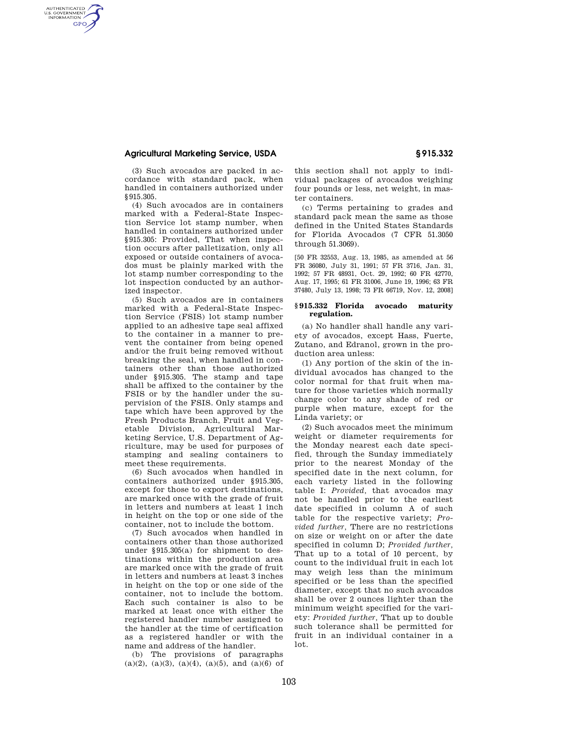# **Agricultural Marketing Service, USDA § 915.332**

AUTHENTICATED<br>U.S. GOVERNMENT<br>INFORMATION **GPO** 

> (3) Such avocados are packed in accordance with standard pack, when handled in containers authorized under

§915.305. (4) Such avocados are in containers marked with a Federal-State Inspection Service lot stamp number, when handled in containers authorized under §915.305: Provided, That when inspection occurs after palletization, only all exposed or outside containers of avocados must be plainly marked with the lot stamp number corresponding to the lot inspection conducted by an authorized inspector.

(5) Such avocados are in containers marked with a Federal-State Inspection Service (FSIS) lot stamp number applied to an adhesive tape seal affixed to the container in a manner to prevent the container from being opened and/or the fruit being removed without breaking the seal, when handled in containers other than those authorized under §915.305. The stamp and tape shall be affixed to the container by the FSIS or by the handler under the supervision of the FSIS. Only stamps and tape which have been approved by the Fresh Products Branch, Fruit and Vegetable Division, Agricultural Marketing Service, U.S. Department of Agriculture, may be used for purposes of stamping and sealing containers to meet these requirements.

(6) Such avocados when handled in containers authorized under §915.305, except for those to export destinations, are marked once with the grade of fruit in letters and numbers at least 1 inch in height on the top or one side of the container, not to include the bottom.

(7) Such avocados when handled in containers other than those authorized under §915.305(a) for shipment to destinations within the production area are marked once with the grade of fruit in letters and numbers at least 3 inches in height on the top or one side of the container, not to include the bottom. Each such container is also to be marked at least once with either the registered handler number assigned to the handler at the time of certification as a registered handler or with the name and address of the handler.

(b) The provisions of paragraphs  $(a)(2)$ ,  $(a)(3)$ ,  $(a)(4)$ ,  $(a)(5)$ , and  $(a)(6)$  of this section shall not apply to individual packages of avocados weighing four pounds or less, net weight, in master containers.

(c) Terms pertaining to grades and standard pack mean the same as those defined in the United States Standards for Florida Avocados (7 CFR 51.3050 through 51.3069).

[50 FR 32553, Aug. 13, 1985, as amended at 56 FR 36080, July 31, 1991; 57 FR 3716, Jan. 31, 1992; 57 FR 48931, Oct. 29, 1992; 60 FR 42770, Aug. 17, 1995; 61 FR 31006, June 19, 1996; 63 FR 37480, July 13, 1998; 73 FR 66719, Nov. 12, 2008]

# **§ 915.332 Florida avocado maturity regulation.**

(a) No handler shall handle any variety of avocados, except Hass, Fuerte, Zutano, and Edranol, grown in the production area unless:

(1) Any portion of the skin of the individual avocados has changed to the color normal for that fruit when mature for those varieties which normally change color to any shade of red or purple when mature, except for the Linda variety; or

(2) Such avocados meet the minimum weight or diameter requirements for the Monday nearest each date specified, through the Sunday immediately prior to the nearest Monday of the specified date in the next column, for each variety listed in the following table I: *Provided,* that avocados may not be handled prior to the earliest date specified in column A of such table for the respective variety; *Provided further,* There are no restrictions on size or weight on or after the date specified in column D; *Provided further,*  That up to a total of 10 percent, by count to the individual fruit in each lot may weigh less than the minimum specified or be less than the specified diameter, except that no such avocados shall be over 2 ounces lighter than the minimum weight specified for the variety: *Provided further,* That up to double such tolerance shall be permitted for fruit in an individual container in a lot.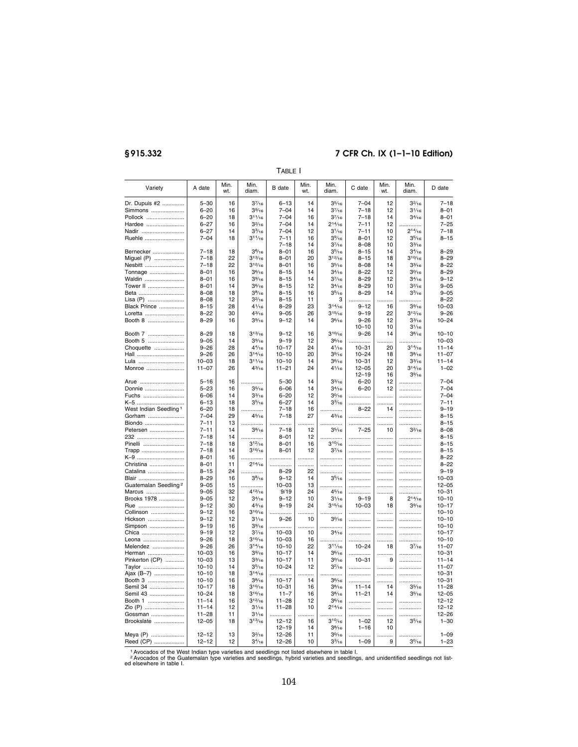# **§ 915.332 7 CFR Ch. IX (1–1–10 Edition)**

Variety | A date | Min. wt. Min.<br>diam  $B$  date  $\parallel$  Min. wt. Min.<br>diam C date  $\parallel$  Min. wt. Min.<br>diam D date Dr. Dupuis #2 .............. 5–30 16 37⁄16 6–13 14 35⁄16 7–04 12 32⁄16 7–18 Simmons ..................... 6–20 16 39⁄16 7–04 14 37⁄16 7–18 12 31⁄16 8–01 Pollock ........................ 6–20 18 311⁄16 7–04 16 37⁄16 7–18 14 34⁄16 8–01 Hardee ........................ 6–27 16 32⁄16 7–04 14 214⁄16 7–11 12 .............. 7–25 Nadir .................................. | 6–27 | 14 | 33⁄1s | 7–04 | 12 | 31⁄1s | 7–11 | 10 | 214⁄1s | 7–18 Ruehle ......................... 7–04 18 311⁄16 7–11  $7-18$ <br>8-01 16 14<br>16 39⁄16  $3^{7/16}$ <br> $3^{5/16}$ 8–01  $8 - 08$ <br> $8 - 15$ 12 10  $35/16$  $3^{3/16}$ <br> $3^{4/16}$ 8–15 Bernecker .................... 7–18 18 36⁄16 8–01 16 35⁄16 8–15 14 34⁄16 8–29 Miguel (P) .................... | 7–18 | 22 | 3<sup>13</sup>⁄16 | 8–01 | 20 | 3<sup>12⁄</sup>16 | 8–15 | 18 | 3<sup>10⁄</sup>16 | 8–29 Nesbitt ......................... 7–18 22 312⁄16 8–01 16 35⁄16 8–08 14 33⁄16 8–22 Tonnage ....................... | 8–01 | 16 | 3%re | 8–15 | 14 | 3¼rs | 8–22 | 12 | 3¼rs | 8–29 Waldin .......................... | 8–01 | 16 | 3%rs | 8–15 | 14 | 37⁄1s | 8–29 | 12 | 3¼rs | 9–12 Tower Ⅱ ...................... | 8–01 | 14 | 3%/s | 8–15 | 12 | 3%/s | 8–29 | 10 | 3º/1s | 9–05 Beta ............................. 8–08 18 38⁄16 8–15 16 35⁄16 8–29 14 33⁄16 9–05 Lisa (P) ....................... 8–08 12 32⁄16 8–15 11 3 .............. .......... .............. 8–22 Black Prince ................ 8–15 28 41⁄16 8–29 23 314⁄16 9–12 16 39⁄16 10–03 Loretta ......................... 8–22 30 43⁄16 9–05 26 315⁄16 9–19 22 312⁄16 9–26 Booth 8 ....................... 8–29 16 39⁄16 9–12 14 36⁄16 9–26  $9-26$ <br>10–10<br>9–26 12 10 33⁄16  $3\frac{1}{16}$ <br> $3\frac{8}{16}$ 10–24 Booth 7 ....................... 8–29 18 313⁄16 9–12 16 310⁄16 9–26 14 38⁄16 10–10 Booth 5 ....................... 9–05 14 39⁄16 9–19 12 36⁄16 .............. .......... .............. 10–03 Choquette ................... 9–26 28 44⁄16 10–17 24 41⁄16 10–31 20 314⁄16 11–14 Hall .............................. 9–26 26 314⁄16 10–10 20 39⁄16 10–24 18 38⁄16 11–07 Lula ............................. 10–03 18 311⁄16 10–10 14 36⁄16 10–31 12 33⁄16 11–14 Monroe ........................ 11–07 26 43⁄16 11–21 24 41⁄16 12–05 12–19 20 16 314⁄16 39⁄16 1–02 Arue ............................ 5–16 16 .............. 5–30 14 33⁄16 6–20 12 .............. 7–04 Donnie ......................... 5–23 16 35⁄16 6–06 14 34⁄16 6–20 12 .............. 7–04 Fuchs .......................... 6–06 14 33⁄16 6–20 12 30⁄16 .............. .......... .............. 7–04 K–5 ................................ │ 6–13 │ 18 │ 35⁄16 │ 6–27 │ 14 │ 33⁄16 │ …………… │ …………… │ 7–11 West Indian Seedling 1 6–20 18 .............. 7–18 16 .............. 8–22 14 .............. 9–19 Gorham ....................... 7–04 29 45⁄16 7–18 27 43⁄16 .............. .......... .............. 8–15 Biondo ......................... 7–11 13 .............. .............. .......... .............. .............. .......... .............. 8–15 Petersen ....................... | 7–11 | 14 | 3% | 7–18 | 12 | 35⁄16 | 7–25 | 10 | 32⁄16 | 8–08 232 .............................. 7–18 14 .............. 8–01 12 .............. .............. .......... .............. 8–15 Pinelli .......................... 7–18 18 312⁄16 8–01 16 310⁄16 .............. .......... .............. 8–15 Trapp ........................... 7–18 14 310⁄16 8–01 12 37⁄16 .............. .......... .............. 8–15 K–9 .............................. 8–01 16 .............. .............. .......... .............. .............. .......... .............. 8–22 Christina ...................... 8–01 11 214⁄16 .............. .......... .............. .............. .......... .............. 8–22 Catalina ....................... 8–15 24 .............. 8–29 22 .............. .............. .......... .............. 9–19 Blair ............................. 8–29 16 38⁄16 9–12 14 35⁄16 .............. .......... .............. 10–03 Guatemalan Seedling 2 9–05 15 .............. 10–03 13 .............. .............. .......... .............. 12–05 Marcus ........................ 9–05 32 412⁄16 9/19 24 45⁄16 .............. .......... .............. 10–31 Brooks 1978 ................ 9–05 12 34⁄16 9–12 10 31⁄16 9–19 8 214⁄16 10–10 Rue ............................. 9–12 30 43⁄16 9–19 24 315⁄16 10–03 18 39⁄16 10–17 Collinson ..................... 9–12 16 310⁄16 .............. .......... .............. .............. .......... .............. 10–10 Hickson ....................... │ 9–12 │ 12 │ 3¼6 │ 9–26 │ 10 │ 3%6 │ …………… │ ………… │ …………… │ 10–10 Simpson ...................... 9–19 16 39⁄16 .............. .......... .............. .............. .......... .............. 10–10 Chica ............................ | 9–19 | 12 | 37⁄16 | 10−03 | 10 | 31⁄16 | ............... | .............. | 10−17 Leona .......................... 9–26 18 310⁄16 10–03 16 .............. .............. .......... .............. 10–10 Melendez .................... 9–26 26 314⁄16 10–10 22 311⁄16 10–24 18 37⁄16 11–07 Herman ...................... │ 10–03│ 16│ 3%⊧6│ 10–17│ 14│ 3%⊧6│................. │................ │ 10–31 │ Pinkerton (CP) ............ 10–03 13 33⁄16 10–17 11 30⁄16 10–31 9 .............. 11–14 Taylor .......................... 10–10 14 35⁄16 10–24 12 32⁄16 .............. .......... .............. 11–07 Ajax (B–7) ................... 10–10 18 314⁄16 .............. .......... .............. .............. .......... .............. 10–31 Booth 3 ........................... | 10–10 | 16 | 3%1s | 10–17 | 14 | 3%1s | ............... | .............. | 10–31 Semil 34 ...................... 10–17 18 310⁄16 10–31 16 38⁄16 11–14 14 35⁄16 11–28 Semil 43 ...................... 10–24 18 310⁄16 11–7 16 38⁄16 11–21 14 35⁄16 12–05 Booth 1 ....................... | 11–14 | 16 | 3<sup>12</sup>⁄16 | 11–28 | 12 | 3<sup>6</sup>⁄16 | ............... | .............. | 12–12 Zio (P) ................................ │ 11−14 │ 12 │ 31⁄16 │ 11−28 │ 10 │ 21∕16 │ …………… │ …………… │ 12−12 Gossman ..................... 11–28 11 31⁄16 .............. .......... .............. .............. .......... .............. 12–26 Brookslate ................... 12–05 18 313⁄16 12–12 16 310⁄16 1–02 12 35⁄16 1–30  $\begin{array}{|c|c|c|c|c|c|}\n\hline\n12–19 & 14 & 3\% & 1–16 & 10 \\
12–26 & 11 & 3\% & \dots & \dots & \dots & \dots\n\end{array}$ Meya (P) ...................... | 12–12 | 13 | 3º⁄16 | 12–26 | 11 | 3º⁄16 | ................ | ............... | 1–09 Reed (CP) ................... 12–12 12 34⁄16 12–26 10 33⁄16 1–09 9 30⁄16 1–23

TABLE I

1Avocados of the West Indian type varieties and seedlings not listed elsewhere in table I. 2Avocados of the Guatemalan type varieties and seedlings, hybrid varieties and seedlings, and unidentified seedlings not listed elsewhere in table I.